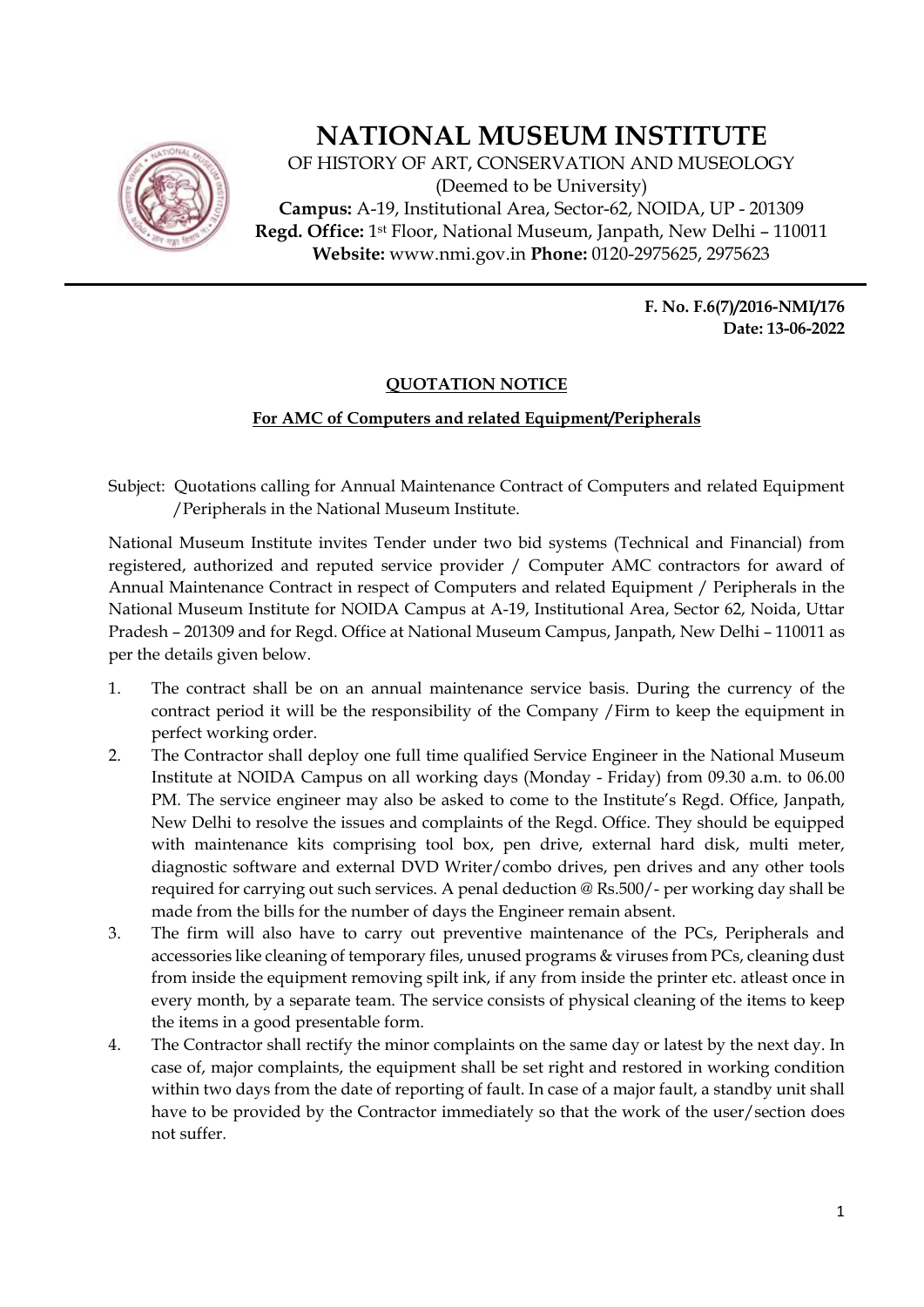

## **NATIONAL MUSEUM INSTITUTE**

OF HISTORY OF ART, CONSERVATION AND MUSEOLOGY (Deemed to be University) **Campus:** A-19, Institutional Area, Sector-62, NOIDA, UP - 201309 **Regd. Office:** 1st Floor, National Museum, Janpath, New Delhi – 110011 **Website:** www.nmi.gov.in **Phone:** 0120-2975625, 2975623

> **F. No. F.6(7)/2016-NMI/176 Date: 13-06-2022**

## **QUOTATION NOTICE**

## **For AMC of Computers and related Equipment/Peripherals**

Subject: Quotations calling for Annual Maintenance Contract of Computers and related Equipment /Peripherals in the National Museum Institute.

National Museum Institute invites Tender under two bid systems (Technical and Financial) from registered, authorized and reputed service provider / Computer AMC contractors for award of Annual Maintenance Contract in respect of Computers and related Equipment / Peripherals in the National Museum Institute for NOIDA Campus at A-19, Institutional Area, Sector 62, Noida, Uttar Pradesh – 201309 and for Regd. Office at National Museum Campus, Janpath, New Delhi – 110011 as per the details given below.

- 1. The contract shall be on an annual maintenance service basis. During the currency of the contract period it will be the responsibility of the Company /Firm to keep the equipment in perfect working order.
- 2. The Contractor shall deploy one full time qualified Service Engineer in the National Museum Institute at NOIDA Campus on all working days (Monday - Friday) from 09.30 a.m. to 06.00 PM. The service engineer may also be asked to come to the Institute's Regd. Office, Janpath, New Delhi to resolve the issues and complaints of the Regd. Office. They should be equipped with maintenance kits comprising tool box, pen drive, external hard disk, multi meter, diagnostic software and external DVD Writer/combo drives, pen drives and any other tools required for carrying out such services. A penal deduction  $\mathcal{Q}$  Rs.500/- per working day shall be made from the bills for the number of days the Engineer remain absent.
- 3. The firm will also have to carry out preventive maintenance of the PCs, Peripherals and accessories like cleaning of temporary files, unused programs & viruses from PCs, cleaning dust from inside the equipment removing spilt ink, if any from inside the printer etc. atleast once in every month, by a separate team. The service consists of physical cleaning of the items to keep the items in a good presentable form.
- 4. The Contractor shall rectify the minor complaints on the same day or latest by the next day. In case of, major complaints, the equipment shall be set right and restored in working condition within two days from the date of reporting of fault. In case of a major fault, a standby unit shall have to be provided by the Contractor immediately so that the work of the user/section does not suffer.